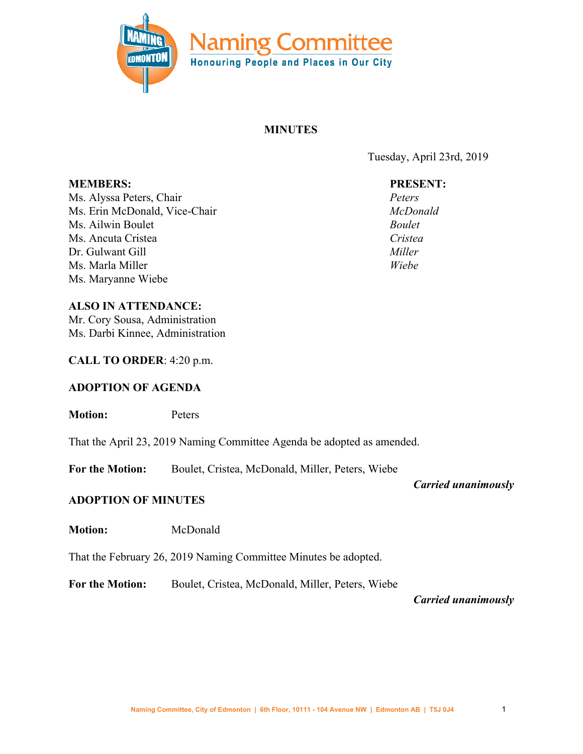

# **MINUTES**

Tuesday, April 23rd, 2019

# **PRESENT:**

*Peters McDonald Boulet Cristea Miller Wiebe*

**MEMBERS:** Ms. Alyssa Peters, Chair Ms. Erin McDonald, Vice-Chair Ms. Ailwin Boulet Ms. Ancuta Cristea Dr. Gulwant Gill Ms. Marla Miller Ms. Maryanne Wiebe

### **ALSO IN ATTENDANCE:**

Mr. Cory Sousa, Administration Ms. Darbi Kinnee, Administration

## **CALL TO ORDER**: 4:20 p.m.

# **ADOPTION OF AGENDA**

**Motion:** Peters

That the April 23, 2019 Naming Committee Agenda be adopted as amended.

**For the Motion:** Boulet, Cristea, McDonald, Miller, Peters, Wiebe

*Carried unanimously*

# **ADOPTION OF MINUTES**

**Motion:** McDonald

That the February 26, 2019 Naming Committee Minutes be adopted.

**For the Motion:** Boulet, Cristea, McDonald, Miller, Peters, Wiebe

*Carried unanimously*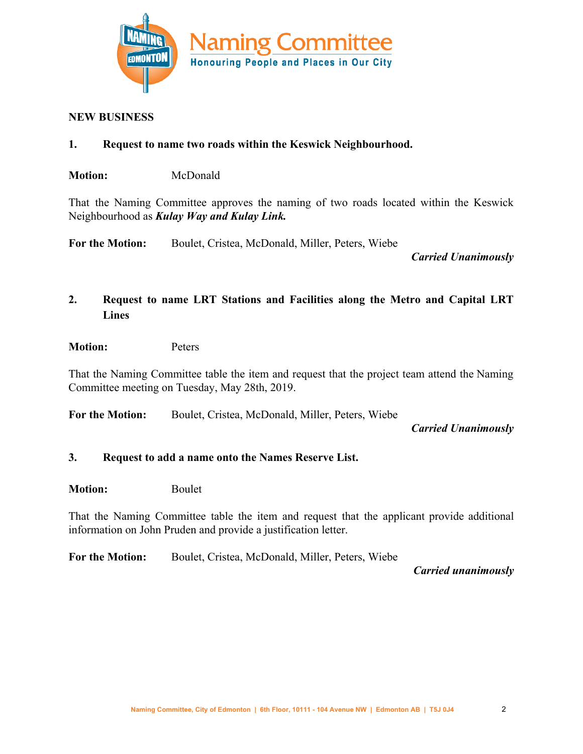

### **NEW BUSINESS**

- **1. Request to name two roads within the Keswick Neighbourhood.**
- **Motion:** McDonald

That the Naming Committee approves the naming of two roads located within the Keswick Neighbourhood as *Kulay Way and Kulay Link.*

**For the Motion:** Boulet, Cristea, McDonald, Miller, Peters, Wiebe

*Carried Unanimously*

# **2. Request to name LRT Stations and Facilities along the Metro and Capital LRT Lines**

#### **Motion:** Peters

That the Naming Committee table the item and request that the project team attend the Naming Committee meeting on Tuesday, May 28th, 2019.

**For the Motion:** Boulet, Cristea, McDonald, Miller, Peters, Wiebe

### *Carried Unanimously*

### **3. Request to add a name onto the Names Reserve List.**

**Motion:** Boulet

That the Naming Committee table the item and request that the applicant provide additional information on John Pruden and provide a justification letter.

**For the Motion:** Boulet, Cristea, McDonald, Miller, Peters, Wiebe

*Carried unanimously*